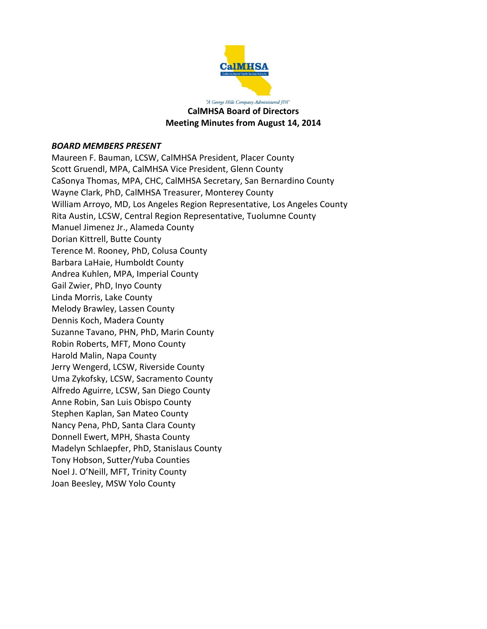

"A George Hills Company Administered JPA" **CalMHSA Board of Directors Meeting Minutes from August 14, 2014**

#### *BOARD MEMBERS PRESENT*

Maureen F. Bauman, LCSW, CalMHSA President, Placer County Scott Gruendl, MPA, CalMHSA Vice President, Glenn County CaSonya Thomas, MPA, CHC, CalMHSA Secretary, San Bernardino County Wayne Clark, PhD, CalMHSA Treasurer, Monterey County William Arroyo, MD, Los Angeles Region Representative, Los Angeles County Rita Austin, LCSW, Central Region Representative, Tuolumne County Manuel Jimenez Jr., Alameda County Dorian Kittrell, Butte County Terence M. Rooney, PhD, Colusa County Barbara LaHaie, Humboldt County Andrea Kuhlen, MPA, Imperial County Gail Zwier, PhD, Inyo County Linda Morris, Lake County Melody Brawley, Lassen County Dennis Koch, Madera County Suzanne Tavano, PHN, PhD, Marin County Robin Roberts, MFT, Mono County Harold Malin, Napa County Jerry Wengerd, LCSW, Riverside County Uma Zykofsky, LCSW, Sacramento County Alfredo Aguirre, LCSW, San Diego County Anne Robin, San Luis Obispo County Stephen Kaplan, San Mateo County Nancy Pena, PhD, Santa Clara County Donnell Ewert, MPH, Shasta County Madelyn Schlaepfer, PhD, Stanislaus County Tony Hobson, Sutter/Yuba Counties Noel J. O'Neill, MFT, Trinity County Joan Beesley, MSW Yolo County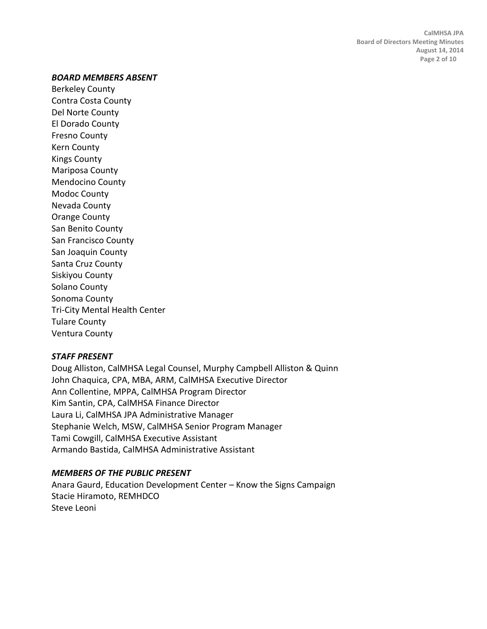#### *BOARD MEMBERS ABSENT*

Berkeley County Contra Costa County Del Norte County El Dorado County Fresno County Kern County Kings County Mariposa County Mendocino County Modoc County Nevada County Orange County San Benito County San Francisco County San Joaquin County Santa Cruz County Siskiyou County Solano County Sonoma County Tri-City Mental Health Center Tulare County Ventura County

#### *STAFF PRESENT*

Doug Alliston, CalMHSA Legal Counsel, Murphy Campbell Alliston & Quinn John Chaquica, CPA, MBA, ARM, CalMHSA Executive Director Ann Collentine, MPPA, CalMHSA Program Director Kim Santin, CPA, CalMHSA Finance Director Laura Li, CalMHSA JPA Administrative Manager Stephanie Welch, MSW, CalMHSA Senior Program Manager Tami Cowgill, CalMHSA Executive Assistant Armando Bastida, CalMHSA Administrative Assistant

#### *MEMBERS OF THE PUBLIC PRESENT*

Anara Gaurd, Education Development Center – Know the Signs Campaign Stacie Hiramoto, REMHDCO Steve Leoni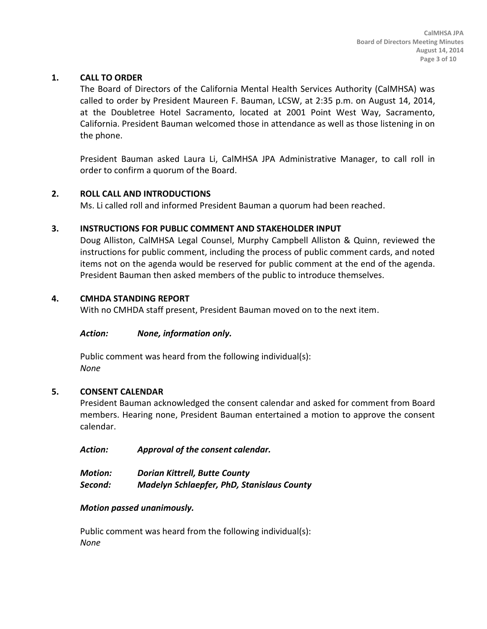## **1. CALL TO ORDER**

The Board of Directors of the California Mental Health Services Authority (CalMHSA) was called to order by President Maureen F. Bauman, LCSW, at 2:35 p.m. on August 14, 2014, at the Doubletree Hotel Sacramento, located at 2001 Point West Way, Sacramento, California. President Bauman welcomed those in attendance as well as those listening in on the phone.

President Bauman asked Laura Li, CalMHSA JPA Administrative Manager, to call roll in order to confirm a quorum of the Board.

## **2. ROLL CALL AND INTRODUCTIONS**

Ms. Li called roll and informed President Bauman a quorum had been reached.

### **3. INSTRUCTIONS FOR PUBLIC COMMENT AND STAKEHOLDER INPUT**

Doug Alliston, CalMHSA Legal Counsel, Murphy Campbell Alliston & Quinn, reviewed the instructions for public comment, including the process of public comment cards, and noted items not on the agenda would be reserved for public comment at the end of the agenda. President Bauman then asked members of the public to introduce themselves.

## **4. CMHDA STANDING REPORT**

With no CMHDA staff present, President Bauman moved on to the next item.

#### *Action: None, information only.*

Public comment was heard from the following individual(s): *None*

#### **5. CONSENT CALENDAR**

President Bauman acknowledged the consent calendar and asked for comment from Board members. Hearing none, President Bauman entertained a motion to approve the consent calendar.

*Action: Approval of the consent calendar.*

| Motion: | <b>Dorian Kittrell, Butte County</b>              |
|---------|---------------------------------------------------|
| Second: | <b>Madelyn Schlaepfer, PhD, Stanislaus County</b> |

#### *Motion passed unanimously.*

Public comment was heard from the following individual(s): *None*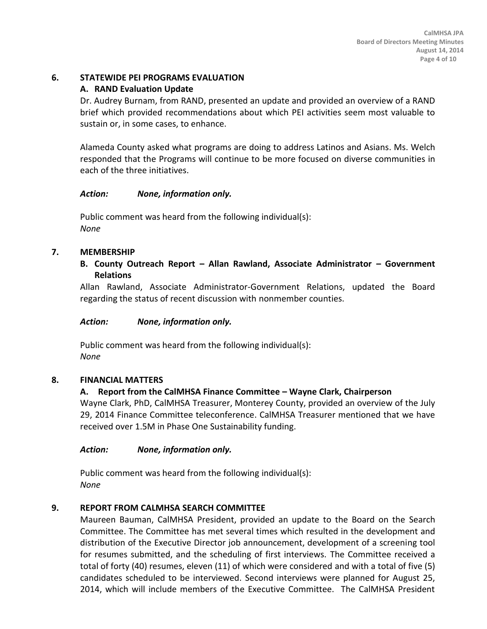## **6. STATEWIDE PEI PROGRAMS EVALUATION**

# **A. RAND Evaluation Update**

Dr. Audrey Burnam, from RAND, presented an update and provided an overview of a RAND brief which provided recommendations about which PEI activities seem most valuable to sustain or, in some cases, to enhance.

Alameda County asked what programs are doing to address Latinos and Asians. Ms. Welch responded that the Programs will continue to be more focused on diverse communities in each of the three initiatives.

## *Action: None, information only.*

Public comment was heard from the following individual(s): *None*

# **7. MEMBERSHIP**

## **B. County Outreach Report – Allan Rawland, Associate Administrator – Government Relations**

Allan Rawland, Associate Administrator-Government Relations, updated the Board regarding the status of recent discussion with nonmember counties.

## *Action: None, information only.*

Public comment was heard from the following individual(s): *None*

# **8. FINANCIAL MATTERS**

# **A. Report from the CalMHSA Finance Committee – Wayne Clark, Chairperson**

Wayne Clark, PhD, CalMHSA Treasurer, Monterey County, provided an overview of the July 29, 2014 Finance Committee teleconference. CalMHSA Treasurer mentioned that we have received over 1.5M in Phase One Sustainability funding.

## *Action: None, information only.*

Public comment was heard from the following individual(s): *None*

# **9. REPORT FROM CALMHSA SEARCH COMMITTEE**

Maureen Bauman, CalMHSA President, provided an update to the Board on the Search Committee. The Committee has met several times which resulted in the development and distribution of the Executive Director job announcement, development of a screening tool for resumes submitted, and the scheduling of first interviews. The Committee received a total of forty (40) resumes, eleven (11) of which were considered and with a total of five (5) candidates scheduled to be interviewed. Second interviews were planned for August 25, 2014, which will include members of the Executive Committee. The CalMHSA President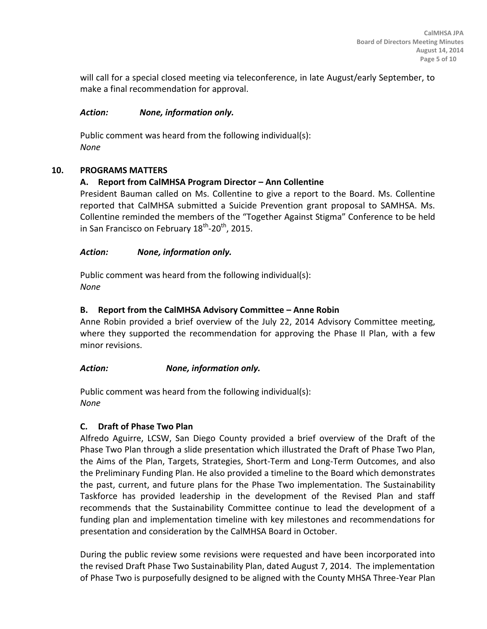will call for a special closed meeting via teleconference, in late August/early September, to make a final recommendation for approval.

### *Action: None, information only.*

Public comment was heard from the following individual(s): *None*

## **10. PROGRAMS MATTERS**

## **A. Report from CalMHSA Program Director – Ann Collentine**

President Bauman called on Ms. Collentine to give a report to the Board. Ms. Collentine reported that CalMHSA submitted a Suicide Prevention grant proposal to SAMHSA. Ms. Collentine reminded the members of the "Together Against Stigma" Conference to be held in San Francisco on February 18<sup>th</sup>-20<sup>th</sup>, 2015.

## *Action: None, information only.*

Public comment was heard from the following individual(s): *None*

## **B. Report from the CalMHSA Advisory Committee – Anne Robin**

Anne Robin provided a brief overview of the July 22, 2014 Advisory Committee meeting, where they supported the recommendation for approving the Phase II Plan, with a few minor revisions.

## *Action: None, information only.*

Public comment was heard from the following individual(s): *None*

## **C. Draft of Phase Two Plan**

Alfredo Aguirre, LCSW, San Diego County provided a brief overview of the Draft of the Phase Two Plan through a slide presentation which illustrated the Draft of Phase Two Plan, the Aims of the Plan, Targets, Strategies, Short-Term and Long-Term Outcomes, and also the Preliminary Funding Plan. He also provided a timeline to the Board which demonstrates the past, current, and future plans for the Phase Two implementation. The Sustainability Taskforce has provided leadership in the development of the Revised Plan and staff recommends that the Sustainability Committee continue to lead the development of a funding plan and implementation timeline with key milestones and recommendations for presentation and consideration by the CalMHSA Board in October.

During the public review some revisions were requested and have been incorporated into the revised Draft Phase Two Sustainability Plan, dated August 7, 2014. The implementation of Phase Two is purposefully designed to be aligned with the County MHSA Three-Year Plan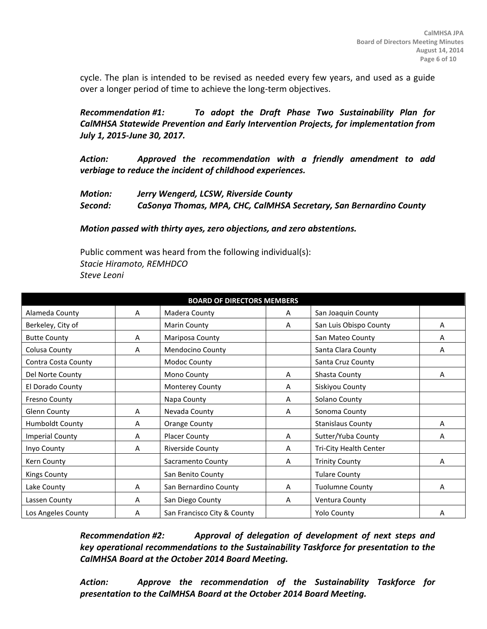cycle. The plan is intended to be revised as needed every few years, and used as a guide over a longer period of time to achieve the long-term objectives.

*Recommendation #1: To adopt the Draft Phase Two Sustainability Plan for CalMHSA Statewide Prevention and Early Intervention Projects, for implementation from July 1, 2015-June 30, 2017.*

*Action: Approved the recommendation with a friendly amendment to add verbiage to reduce the incident of childhood experiences.*

*Motion: Jerry Wengerd, LCSW, Riverside County Second: CaSonya Thomas, MPA, CHC, CalMHSA Secretary, San Bernardino County*

*Motion passed with thirty ayes, zero objections, and zero abstentions.*

Public comment was heard from the following individual(s): *Stacie Hiramoto, REMHDCO Steve Leoni*

| <b>BOARD OF DIRECTORS MEMBERS</b> |   |                             |   |                          |   |
|-----------------------------------|---|-----------------------------|---|--------------------------|---|
| Alameda County                    | A | Madera County               | A | San Joaquin County       |   |
| Berkeley, City of                 |   | <b>Marin County</b>         | A | San Luis Obispo County   | Α |
| <b>Butte County</b>               | Α | Mariposa County             |   | San Mateo County         | А |
| Colusa County                     | A | Mendocino County            |   | Santa Clara County       | Α |
| Contra Costa County               |   | Modoc County                |   | Santa Cruz County        |   |
| Del Norte County                  |   | Mono County                 | A | Shasta County            | A |
| El Dorado County                  |   | Monterey County             | A | Siskiyou County          |   |
| Fresno County                     |   | Napa County                 | A | Solano County            |   |
| <b>Glenn County</b>               | A | Nevada County               | A | Sonoma County            |   |
| <b>Humboldt County</b>            | A | <b>Orange County</b>        |   | <b>Stanislaus County</b> | А |
| <b>Imperial County</b>            | A | Placer County               | A | Sutter/Yuba County       | A |
| Inyo County                       | A | <b>Riverside County</b>     | A | Tri-City Health Center   |   |
| Kern County                       |   | Sacramento County           | A | <b>Trinity County</b>    | Α |
| <b>Kings County</b>               |   | San Benito County           |   | <b>Tulare County</b>     |   |
| Lake County                       | A | San Bernardino County       | A | <b>Tuolumne County</b>   | Α |
| Lassen County                     | A | San Diego County            | A | Ventura County           |   |
| Los Angeles County                | A | San Francisco City & County |   | <b>Yolo County</b>       | А |

*Recommendation #2: Approval of delegation of development of next steps and key operational recommendations to the Sustainability Taskforce for presentation to the CalMHSA Board at the October 2014 Board Meeting.*

*Action: Approve the recommendation of the Sustainability Taskforce for presentation to the CalMHSA Board at the October 2014 Board Meeting.*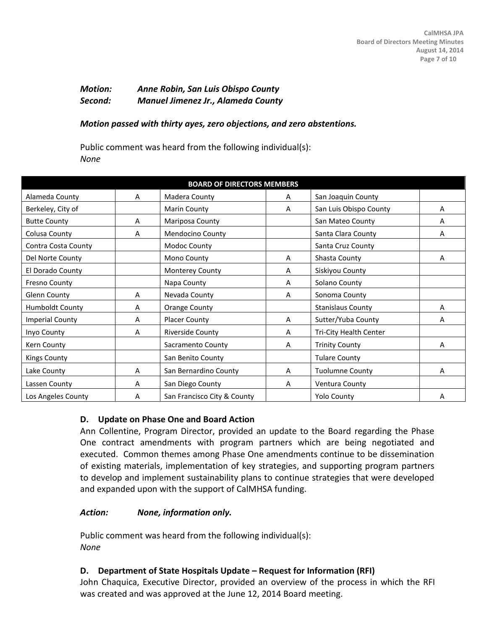### *Motion: Anne Robin, San Luis Obispo County Second: Manuel Jimenez Jr., Alameda County*

#### *Motion passed with thirty ayes, zero objections, and zero abstentions.*

Public comment was heard from the following individual(s): *None*

| <b>BOARD OF DIRECTORS MEMBERS</b> |   |                             |   |                          |   |
|-----------------------------------|---|-----------------------------|---|--------------------------|---|
| Alameda County                    | A | Madera County               | A | San Joaquin County       |   |
| Berkeley, City of                 |   | <b>Marin County</b>         | Α | San Luis Obispo County   | Α |
| <b>Butte County</b>               | A | Mariposa County             |   | San Mateo County         | A |
| Colusa County                     | A | <b>Mendocino County</b>     |   | Santa Clara County       | A |
| Contra Costa County               |   | Modoc County                |   | Santa Cruz County        |   |
| Del Norte County                  |   | Mono County                 | A | Shasta County            | A |
| El Dorado County                  |   | Monterey County             | А | Siskiyou County          |   |
| <b>Fresno County</b>              |   | Napa County                 | A | Solano County            |   |
| Glenn County                      | A | Nevada County               | A | Sonoma County            |   |
| Humboldt County                   | A | <b>Orange County</b>        |   | <b>Stanislaus County</b> | Α |
| <b>Imperial County</b>            | A | <b>Placer County</b>        | A | Sutter/Yuba County       | Α |
| Inyo County                       | A | <b>Riverside County</b>     | Α | Tri-City Health Center   |   |
| Kern County                       |   | Sacramento County           | A | <b>Trinity County</b>    | A |
| <b>Kings County</b>               |   | San Benito County           |   | <b>Tulare County</b>     |   |
| Lake County                       | A | San Bernardino County       | A | <b>Tuolumne County</b>   | А |
| Lassen County                     | A | San Diego County            | Α | Ventura County           |   |
| Los Angeles County                | А | San Francisco City & County |   | <b>Yolo County</b>       | А |

#### **D. Update on Phase One and Board Action**

Ann Collentine, Program Director, provided an update to the Board regarding the Phase One contract amendments with program partners which are being negotiated and executed. Common themes among Phase One amendments continue to be dissemination of existing materials, implementation of key strategies, and supporting program partners to develop and implement sustainability plans to continue strategies that were developed and expanded upon with the support of CalMHSA funding.

#### *Action: None, information only.*

Public comment was heard from the following individual(s): *None*

## **D. Department of State Hospitals Update – Request for Information (RFI)**

John Chaquica, Executive Director, provided an overview of the process in which the RFI was created and was approved at the June 12, 2014 Board meeting.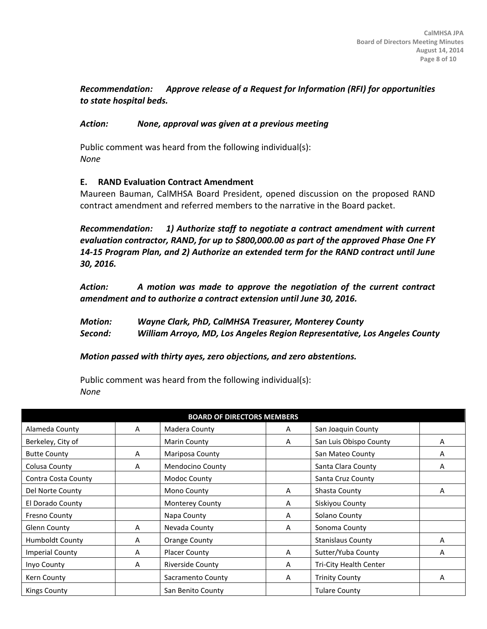# *Recommendation: Approve release of a Request for Information (RFI) for opportunities to state hospital beds.*

### *Action: None, approval was given at a previous meeting*

Public comment was heard from the following individual(s): *None*

## **E. RAND Evaluation Contract Amendment**

Maureen Bauman, CalMHSA Board President, opened discussion on the proposed RAND contract amendment and referred members to the narrative in the Board packet.

*Recommendation: 1) Authorize staff to negotiate a contract amendment with current evaluation contractor, RAND, for up to \$800,000.00 as part of the approved Phase One FY 14-15 Program Plan, and 2) Authorize an extended term for the RAND contract until June 30, 2016.*

*Action: A motion was made to approve the negotiation of the current contract amendment and to authorize a contract extension until June 30, 2016.*

*Motion: Wayne Clark, PhD, CalMHSA Treasurer, Monterey County Second: William Arroyo, MD, Los Angeles Region Representative, Los Angeles County*

*Motion passed with thirty ayes, zero objections, and zero abstentions.*

Public comment was heard from the following individual(s): *None*

| <b>BOARD OF DIRECTORS MEMBERS</b> |   |                        |   |                          |   |  |
|-----------------------------------|---|------------------------|---|--------------------------|---|--|
| Alameda County                    | A | Madera County          | A | San Joaquin County       |   |  |
| Berkeley, City of                 |   | Marin County           | A | San Luis Obispo County   | A |  |
| <b>Butte County</b>               | A | Mariposa County        |   | San Mateo County         | A |  |
| Colusa County                     | A | Mendocino County       |   | Santa Clara County       | A |  |
| Contra Costa County               |   | Modoc County           |   | Santa Cruz County        |   |  |
| Del Norte County                  |   | Mono County            | A | Shasta County            | А |  |
| El Dorado County                  |   | <b>Monterey County</b> | A | Siskiyou County          |   |  |
| <b>Fresno County</b>              |   | Napa County            | A | Solano County            |   |  |
| Glenn County                      | A | Nevada County          | A | Sonoma County            |   |  |
| Humboldt County                   | A | Orange County          |   | <b>Stanislaus County</b> | A |  |
| <b>Imperial County</b>            | A | <b>Placer County</b>   | A | Sutter/Yuba County       | А |  |
| Inyo County                       | A | Riverside County       | A | Tri-City Health Center   |   |  |
| Kern County                       |   | Sacramento County      | A | <b>Trinity County</b>    | A |  |
| Kings County                      |   | San Benito County      |   | <b>Tulare County</b>     |   |  |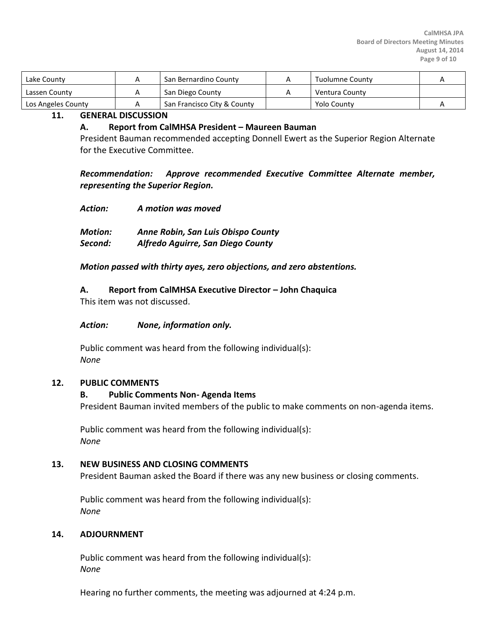| Lake County        | San Bernardino County       | Tuolumne County |  |
|--------------------|-----------------------------|-----------------|--|
| Lassen County      | San Diego County            | Ventura County  |  |
| Los Angeles County | San Francisco City & County | Yolo County     |  |

#### **11. GENERAL DISCUSSION**

#### **A. Report from CalMHSA President – Maureen Bauman**

President Bauman recommended accepting Donnell Ewert as the Superior Region Alternate for the Executive Committee.

*Recommendation: Approve recommended Executive Committee Alternate member, representing the Superior Region.*

- *Action: A motion was moved*
- *Motion: Anne Robin, San Luis Obispo County Second: Alfredo Aguirre, San Diego County*

*Motion passed with thirty ayes, zero objections, and zero abstentions.*

**A. Report from CalMHSA Executive Director – John Chaquica**

This item was not discussed.

#### *Action: None, information only.*

Public comment was heard from the following individual(s): *None*

#### **12. PUBLIC COMMENTS**

#### **B. Public Comments Non- Agenda Items**

President Bauman invited members of the public to make comments on non-agenda items.

Public comment was heard from the following individual(s): *None*

#### **13. NEW BUSINESS AND CLOSING COMMENTS**

President Bauman asked the Board if there was any new business or closing comments.

Public comment was heard from the following individual(s): *None*

#### **14. ADJOURNMENT**

Public comment was heard from the following individual(s): *None*

Hearing no further comments, the meeting was adjourned at 4:24 p.m.